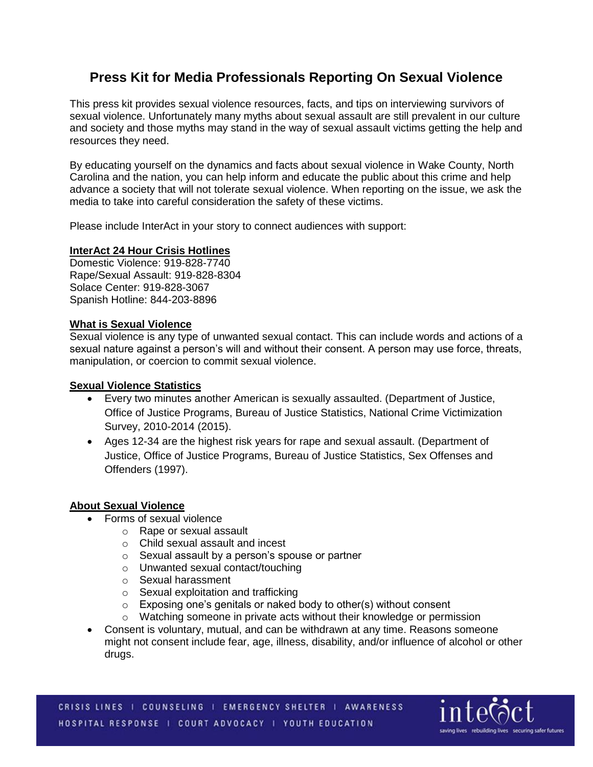# **Press Kit for Media Professionals Reporting On Sexual Violence**

This press kit provides sexual violence resources, facts, and tips on interviewing survivors of sexual violence. Unfortunately many myths about sexual assault are still prevalent in our culture and society and those myths may stand in the way of sexual assault victims getting the help and resources they need.

By educating yourself on the dynamics and facts about sexual violence in Wake County, North Carolina and the nation, you can help inform and educate the public about this crime and help advance a society that will not tolerate sexual violence. When reporting on the issue, we ask the media to take into careful consideration the safety of these victims.

Please include InterAct in your story to connect audiences with support:

## **InterAct 24 Hour Crisis Hotlines**

Domestic Violence: 919-828-7740 Rape/Sexual Assault: 919-828-8304 Solace Center: 919-828-3067 Spanish Hotline: 844-203-8896

## **What is Sexual Violence**

Sexual violence is any type of unwanted sexual contact. This can include words and actions of a sexual nature against a person's will and without their consent. A person may use force, threats, manipulation, or coercion to commit sexual violence.

## **Sexual Violence Statistics**

- Every two minutes another American is sexually assaulted. (Department of Justice, Office of Justice Programs, Bureau of Justice Statistics, National Crime Victimization Survey, 2010-2014 (2015).
- Ages 12-34 are the highest risk years for rape and sexual assault. (Department of Justice, Office of Justice Programs, Bureau of Justice Statistics, Sex Offenses and Offenders (1997).

#### **About Sexual Violence**

- Forms of sexual violence
	- o Rape or sexual assault
	- o Child sexual assault and incest
	- o Sexual assault by a person's spouse or partner
	- o Unwanted sexual contact/touching
	- o Sexual harassment
	- o Sexual exploitation and trafficking
	- o Exposing one's genitals or naked body to other(s) without consent
	- o Watching someone in private acts without their knowledge or permission
- Consent is voluntary, mutual, and can be withdrawn at any time. Reasons someone might not consent include fear, age, illness, disability, and/or influence of alcohol or other drugs.

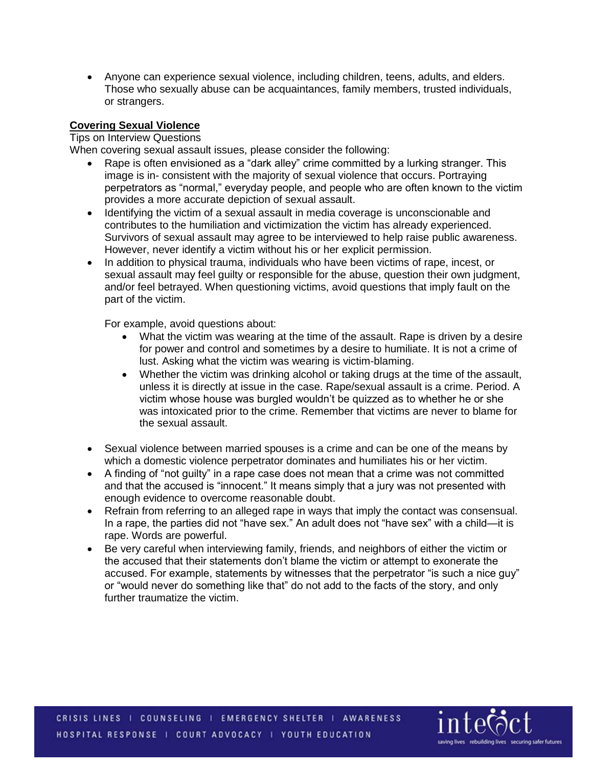Anyone can experience sexual violence, including children, teens, adults, and elders. Those who sexually abuse can be acquaintances, family members, trusted individuals, or strangers.

## **Covering Sexual Violence**

## Tips on Interview Questions

When covering sexual assault issues, please consider the following:

- Rape is often envisioned as a "dark alley" crime committed by a lurking stranger. This image is in- consistent with the majority of sexual violence that occurs. Portraying perpetrators as "normal," everyday people, and people who are often known to the victim provides a more accurate depiction of sexual assault.
- Identifying the victim of a sexual assault in media coverage is unconscionable and contributes to the humiliation and victimization the victim has already experienced. Survivors of sexual assault may agree to be interviewed to help raise public awareness. However, never identify a victim without his or her explicit permission.
- In addition to physical trauma, individuals who have been victims of rape, incest, or sexual assault may feel guilty or responsible for the abuse, question their own judgment, and/or feel betrayed. When questioning victims, avoid questions that imply fault on the part of the victim.

For example, avoid questions about:

- What the victim was wearing at the time of the assault. Rape is driven by a desire for power and control and sometimes by a desire to humiliate. It is not a crime of lust. Asking what the victim was wearing is victim-blaming.
- Whether the victim was drinking alcohol or taking drugs at the time of the assault, unless it is directly at issue in the case. Rape/sexual assault is a crime. Period. A victim whose house was burgled wouldn't be quizzed as to whether he or she was intoxicated prior to the crime. Remember that victims are never to blame for the sexual assault.
- Sexual violence between married spouses is a crime and can be one of the means by which a domestic violence perpetrator dominates and humiliates his or her victim.
- A finding of "not guilty" in a rape case does not mean that a crime was not committed and that the accused is "innocent." It means simply that a jury was not presented with enough evidence to overcome reasonable doubt.
- Refrain from referring to an alleged rape in ways that imply the contact was consensual. In a rape, the parties did not "have sex." An adult does not "have sex" with a child—it is rape. Words are powerful.
- Be very careful when interviewing family, friends, and neighbors of either the victim or the accused that their statements don't blame the victim or attempt to exonerate the accused. For example, statements by witnesses that the perpetrator "is such a nice guy" or "would never do something like that" do not add to the facts of the story, and only further traumatize the victim.

CRISIS LINES | COUNSELING | EMERGENCY SHELTER | AWARENESS HOSPITAL RESPONSE | COURT ADVOCACY | YOUTH EDUCATION